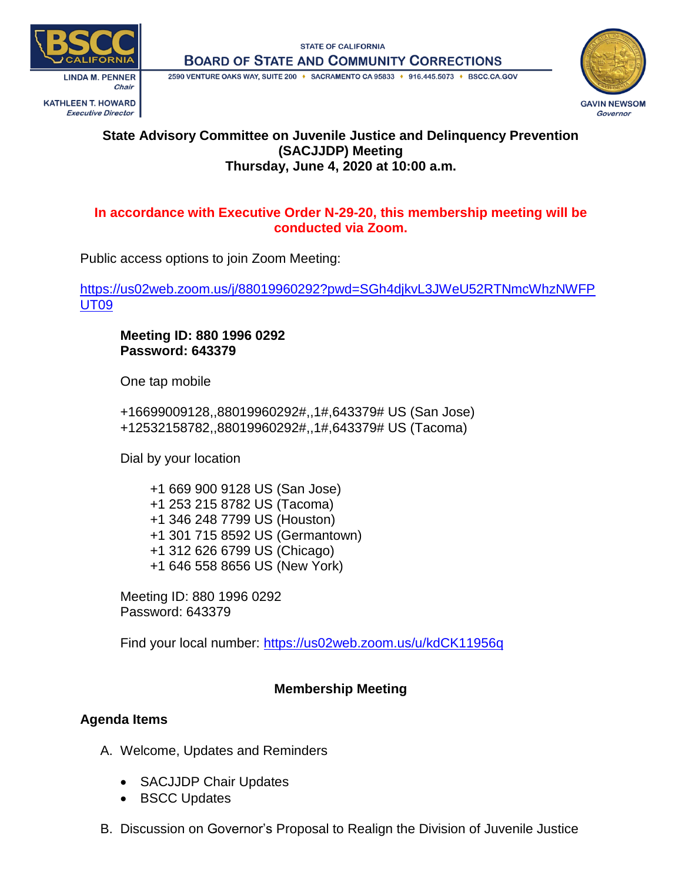**STATE OF CALIFORNIA BOARD OF STATE AND COMMUNITY CORRECTIONS** 



**Executive Director** 

2590 VENTURE OAKS WAY, SUITE 200 + SACRAMENTO CA 95833 + 916.445.5073 + BSCC.CA.GOV



### **State Advisory Committee on Juvenile Justice and Delinquency Prevention (SACJJDP) Meeting Thursday, June 4, 2020 at 10:00 a.m.**

### **In accordance with Executive Order N-29-20, this membership meeting will be conducted via Zoom.**

Public access options to join Zoom Meeting:

[https://us02web.zoom.us/j/88019960292?pwd=SGh4djkvL3JWeU52RTNmcWhzNWFP](https://us02web.zoom.us/j/88019960292?pwd=SGh4djkvL3JWeU52RTNmcWhzNWFPUT09) [UT09](https://us02web.zoom.us/j/88019960292?pwd=SGh4djkvL3JWeU52RTNmcWhzNWFPUT09)

**Meeting ID: 880 1996 0292 Password: 643379**

One tap mobile

+16699009128,,88019960292#,,1#,643379# US (San Jose) +12532158782,,88019960292#,,1#,643379# US (Tacoma)

Dial by your location

 +1 669 900 9128 US (San Jose) +1 253 215 8782 US (Tacoma) +1 346 248 7799 US (Houston) +1 301 715 8592 US (Germantown) +1 312 626 6799 US (Chicago) +1 646 558 8656 US (New York)

Meeting ID: 880 1996 0292 Password: 643379

Find your local number:<https://us02web.zoom.us/u/kdCK11956q>

# **Membership Meeting**

# **Agenda Items**

- A. Welcome, Updates and Reminders
	- SACJJDP Chair Updates
	- BSCC Updates
- B. Discussion on Governor's Proposal to Realign the Division of Juvenile Justice